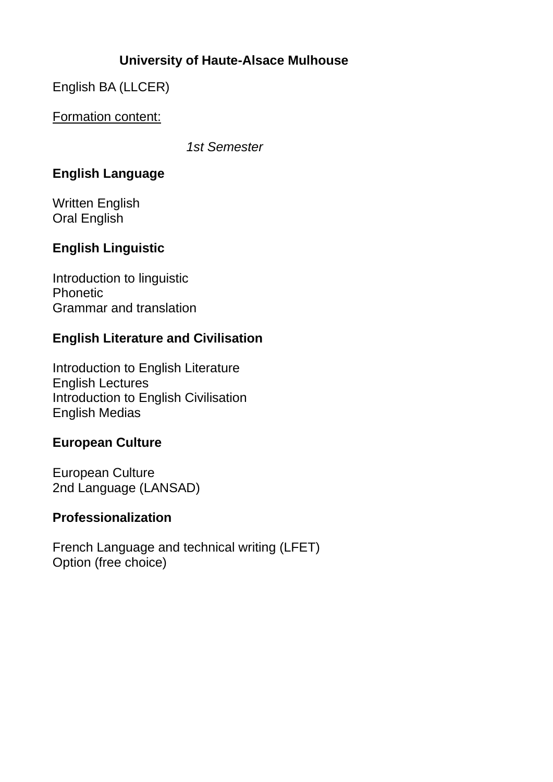# **University of Haute-Alsace Mulhouse**

English BA (LLCER)

Formation content:

*1st Semester*

# **English Language**

Written English Oral English

# **English Linguistic**

Introduction to linguistic Phonetic Grammar and translation

# **English Literature and Civilisation**

Introduction to English Literature English Lectures Introduction to English Civilisation English Medias

# **European Culture**

European Culture 2nd Language (LANSAD)

# **Professionalization**

French Language and technical writing (LFET) Option (free choice)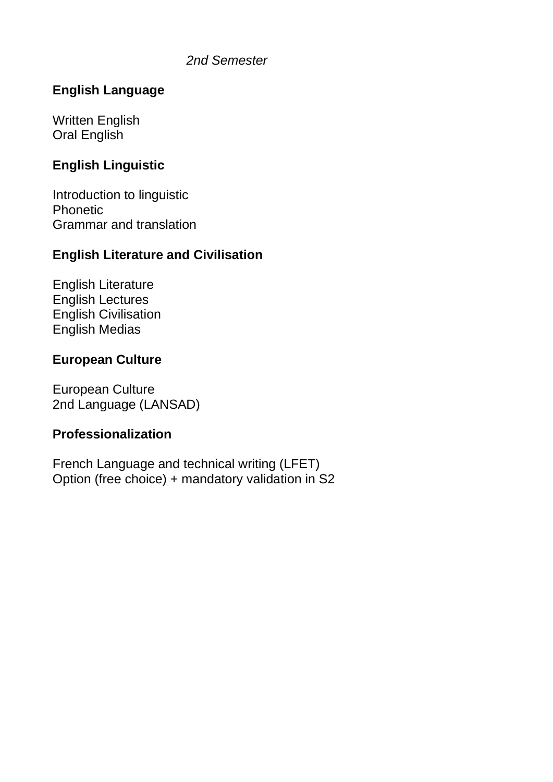#### *2nd Semester*

## **English Language**

Written English Oral English

### **English Linguistic**

Introduction to linguistic Phonetic Grammar and translation

### **English Literature and Civilisation**

English Literature English Lectures English Civilisation English Medias

#### **European Culture**

European Culture 2nd Language (LANSAD)

#### **Professionalization**

French Language and technical writing (LFET) Option (free choice) + mandatory validation in S2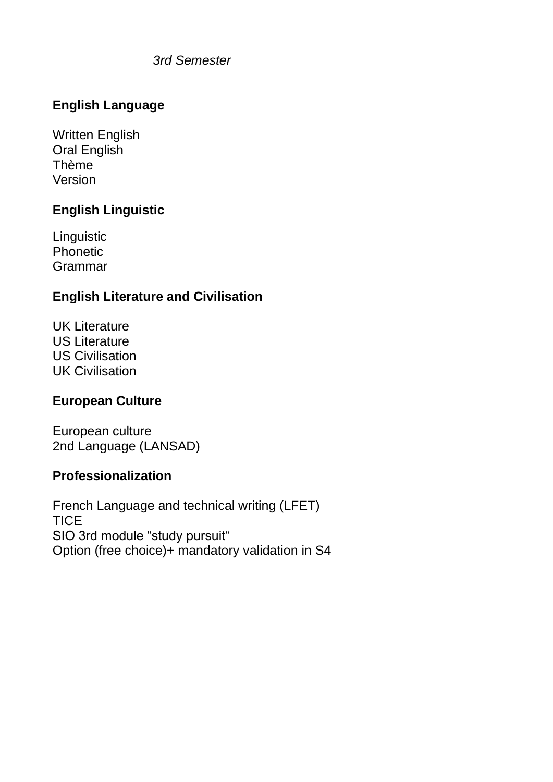*3rd Semester*

# **English Language**

Written English Oral English Thème Version

# **English Linguistic**

Linguistic Phonetic Grammar

# **English Literature and Civilisation**

UK Literature US Literature US Civilisation UK Civilisation

### **European Culture**

European culture 2nd Language (LANSAD)

### **Professionalization**

French Language and technical writing (LFET) **TICE** SIO 3rd module "study pursuit" Option (free choice)+ mandatory validation in S4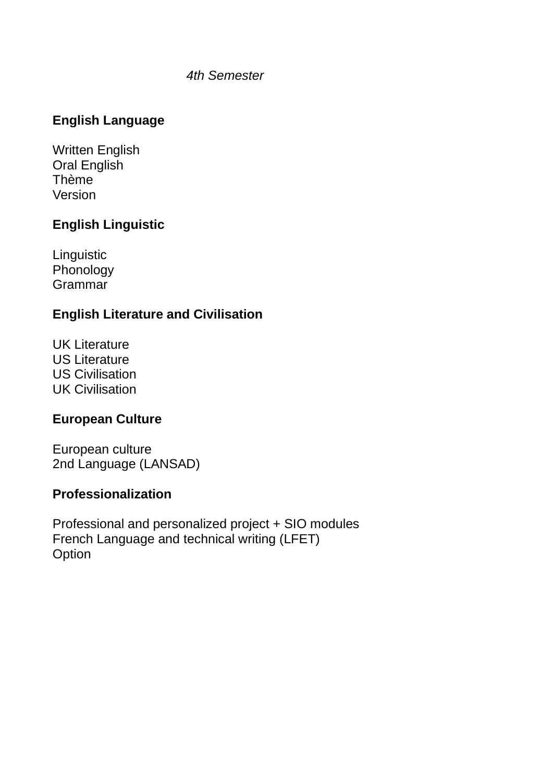#### *4th Semester*

# **English Language**

Written English Oral English Thème Version

## **English Linguistic**

**Linguistic** Phonology Grammar

## **English Literature and Civilisation**

UK Literature US Literature US Civilisation UK Civilisation

# **European Culture**

European culture 2nd Language (LANSAD)

### **Professionalization**

Professional and personalized project + SIO modules French Language and technical writing (LFET) **Option**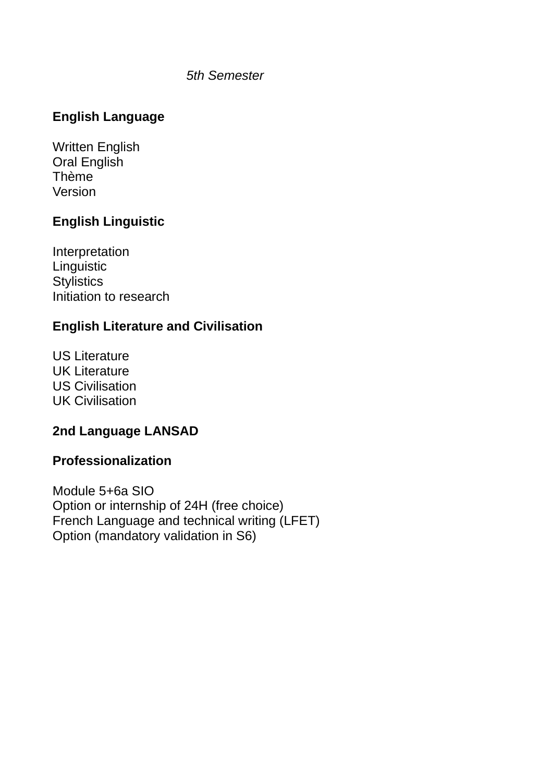#### *5th Semester*

# **English Language**

Written English Oral English Thème Version

### **English Linguistic**

Interpretation **Linguistic Stylistics** Initiation to research

# **English Literature and Civilisation**

US Literature UK Literature US Civilisation UK Civilisation

### **2nd Language LANSAD**

#### **Professionalization**

Module 5+6a SIO Option or internship of 24H (free choice) French Language and technical writing (LFET) Option (mandatory validation in S6)